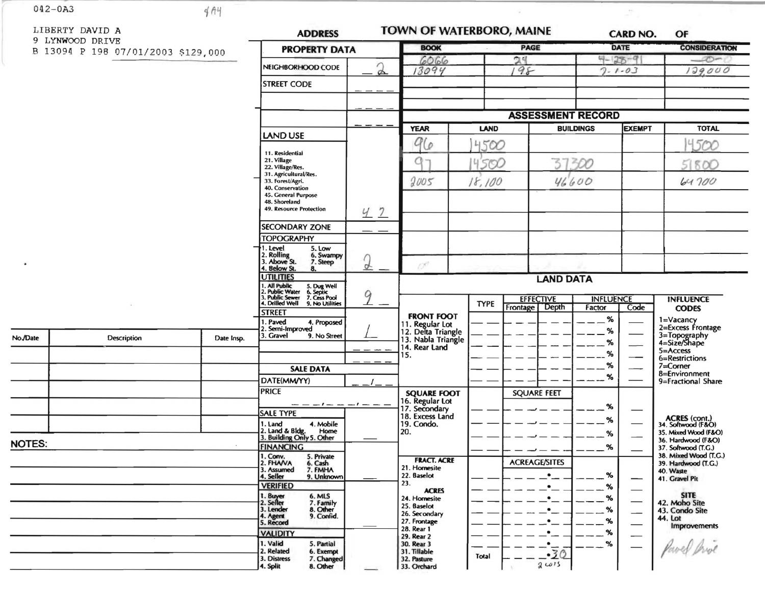$042 - 0A3$ 

 $\bullet$ 

No./Date

**NOTES:** 

 $4A4$ 

LIBERTY DAVID

9 LYNWOOD DRI

B 13094 P 198

| ЭA                                      |            | <b>ADDRESS</b>                                                                                                     | TOWN OF WATERBORO, MAINE |                                          |  |             |              | <b>CARD NO.</b><br>OF |                                                          |                               |                                                             |  |
|-----------------------------------------|------------|--------------------------------------------------------------------------------------------------------------------|--------------------------|------------------------------------------|--|-------------|--------------|-----------------------|----------------------------------------------------------|-------------------------------|-------------------------------------------------------------|--|
| VE <sup>T</sup><br>07/01/2003 \$129,000 |            | <b>PROPERTY DATA</b>                                                                                               |                          | <b>BOOK</b>                              |  | <b>PAGE</b> |              |                       | <b>DATE</b>                                              |                               | <b>CONSIDERATION</b>                                        |  |
|                                         |            | NEIGHBORHOOD CODE                                                                                                  | $\mathfrak{D}$           | 6066<br>13094                            |  |             | 24<br>$98 -$ |                       | $4 - 28 - 9$<br>$7 - 1 - 03$                             |                               | $\overline{\mathcal{O}}$<br>129,000                         |  |
|                                         |            | <b>STREET CODE</b>                                                                                                 |                          |                                          |  |             |              |                       |                                                          |                               |                                                             |  |
|                                         |            |                                                                                                                    |                          |                                          |  |             |              |                       |                                                          |                               |                                                             |  |
|                                         |            |                                                                                                                    |                          |                                          |  |             |              |                       | <b>ASSESSMENT RECORD</b>                                 |                               |                                                             |  |
|                                         |            |                                                                                                                    |                          | <b>YEAR</b>                              |  | <b>LAND</b> |              |                       | <b>EXEMPT</b><br><b>BUILDINGS</b>                        |                               | <b>TOTAL</b>                                                |  |
|                                         |            | <b>LAND USE</b>                                                                                                    |                          | 96                                       |  | 4500        |              |                       |                                                          |                               | 4500                                                        |  |
|                                         |            |                                                                                                                    |                          | Ω                                        |  | 4500        |              |                       |                                                          | 51800                         |                                                             |  |
|                                         |            |                                                                                                                    |                          |                                          |  | 18,100      |              |                       | 37300                                                    |                               |                                                             |  |
|                                         |            |                                                                                                                    |                          | 2005                                     |  |             |              | 46600                 |                                                          | 64700                         |                                                             |  |
|                                         |            | 45. General Purpose<br>48. Shoreland<br>49. Resource Protection                                                    |                          |                                          |  |             |              |                       |                                                          |                               |                                                             |  |
|                                         |            |                                                                                                                    | 47                       |                                          |  |             |              |                       |                                                          |                               |                                                             |  |
|                                         |            | <b>SECONDARY ZONE</b><br><b>TOPOGRAPHY</b>                                                                         |                          |                                          |  |             |              |                       |                                                          |                               |                                                             |  |
|                                         |            | 1. Level<br>5. Low                                                                                                 |                          |                                          |  |             |              |                       |                                                          |                               |                                                             |  |
|                                         |            | 2. Rolling<br>6. Swampy<br>3. Above St.<br>7. Steep<br>4. Below St.<br>8.                                          | 2                        | 0°                                       |  |             |              |                       |                                                          |                               |                                                             |  |
|                                         |            | <b>UTILITIES</b>                                                                                                   |                          | <b>LAND DATA</b>                         |  |             |              |                       |                                                          |                               |                                                             |  |
|                                         |            | 1. All Public<br>2. Public Water<br>3. Public Sewer<br>4. Drilled Well<br>5. Dug Well<br>6. Septic<br>7. Cess Pool | 9                        |                                          |  |             |              |                       | <b>EFFECTIVE</b><br><b>INFLUENCE</b><br><b>INFLUENCE</b> |                               |                                                             |  |
|                                         |            | 9. No Utilities<br><b>STREET</b>                                                                                   |                          | <b>FRONT FOOT</b>                        |  | <b>TYPE</b> |              | Frontage   Depth      | Factor                                                   | Code <sup>-</sup>             | <b>CODES</b>                                                |  |
|                                         |            | 1. Paved<br>4. Proposed<br>2. Semi-Improved                                                                        |                          | 11. Regular Lot                          |  |             |              |                       | %<br>%                                                   |                               | 1=Vacancy<br>2=Excess Frontage                              |  |
| <b>Description</b>                      | Date Insp. | 3. Gravel<br>9. No Street                                                                                          |                          | 12. Delta Triangle<br>13. Nabla Triangle |  |             |              |                       | %                                                        |                               | 3=Topography<br>4=Size/Shape                                |  |
|                                         |            |                                                                                                                    |                          | 14. Rear Land<br>15.                     |  |             |              |                       | %                                                        |                               | $5 =$ Access<br>6=Restrictions                              |  |
|                                         |            | <b>SALE DATA</b>                                                                                                   |                          |                                          |  |             |              | %                     |                                                          | $7 =$ Corner<br>8=Environment |                                                             |  |
|                                         |            | DATE(MM/YY)                                                                                                        |                          |                                          |  |             |              |                       | %                                                        |                               | 9=Fractional Share                                          |  |
|                                         |            | <b>PRICE</b>                                                                                                       |                          | <b>SQUARE FOOT</b><br>16. Regular Lot    |  |             |              | <b>SQUARE FEET</b>    |                                                          |                               |                                                             |  |
|                                         |            | <b>SALE TYPE</b>                                                                                                   |                          | 17. Secondary<br>18. Excess Land         |  |             |              |                       | %<br>%                                                   |                               |                                                             |  |
|                                         |            | 1. Land<br>4. Mobile<br>2. Land & Bldg. Home<br>3. Building Only 5. Other                                          |                          | 19. Condo.<br>20.                        |  |             |              |                       | %                                                        |                               | ACRES (cont.)<br>34. Softwood (F&O)<br>35. Mixed Wood (F&O) |  |
|                                         |            | <b>FINANCING</b>                                                                                                   |                          |                                          |  |             |              |                       | %                                                        |                               | 36. Hardwood (F&O)<br>37. Softwood (T.G.)                   |  |
|                                         |            | 1. Conv.<br>5. Private<br>2. FHAVA<br>6. Cash                                                                      |                          | <b>FRACT. ACRE</b>                       |  |             |              | <b>ACREAGE/SITES</b>  |                                                          |                               | 38. Mixed Wood (T.G.)<br>39. Hardwood (T.G.)                |  |
|                                         |            | 7. FMHA<br>3. Assumed<br>4. Seller<br>9. Unknown                                                                   |                          | 21. Homesite<br>22. Baselot              |  |             |              | $\bullet$             | %                                                        |                               | 40. Waste<br>41. Gravel Pit                                 |  |
|                                         |            | <b>VERIFIED</b><br>6. MLS                                                                                          |                          | 23.<br><b>ACRES</b>                      |  |             |              |                       | %                                                        |                               | <b>SITE</b>                                                 |  |
|                                         |            | 1. Buyer<br>2. Seller<br>7. Family<br>3. Lender<br>8. Other                                                        |                          | 24. Homesite<br>25. Baselot              |  |             |              |                       | $\%$<br>%                                                |                               | 42. Moho Site<br>43. Condo Site                             |  |
|                                         |            | 9. Confid.<br>4. Agent<br>5. Record                                                                                |                          | 26. Secondary<br>27. Frontage            |  |             |              |                       | $\boldsymbol{\%}$                                        |                               | 44. Lot<br><b>Improvements</b>                              |  |
|                                         |            | <b>VALIDITY</b>                                                                                                    |                          | 28. Rear 1<br>29. Rear 2                 |  |             |              |                       | %                                                        |                               |                                                             |  |
|                                         |            | 1. Valid<br>5. Partial<br>2. Related<br>6. Exempt                                                                  |                          | 30. Rear 3<br>31. Tillable               |  |             |              | $-30$                 | %                                                        |                               |                                                             |  |
|                                         |            | 3. Distress<br>7. Changed<br>8. Other<br>4. Split                                                                  |                          | 32. Pasture<br>33. Orchard               |  | Total       |              | 2015                  |                                                          |                               |                                                             |  |

 $\overline{\mathcal{L}}$ 

 $\sim$